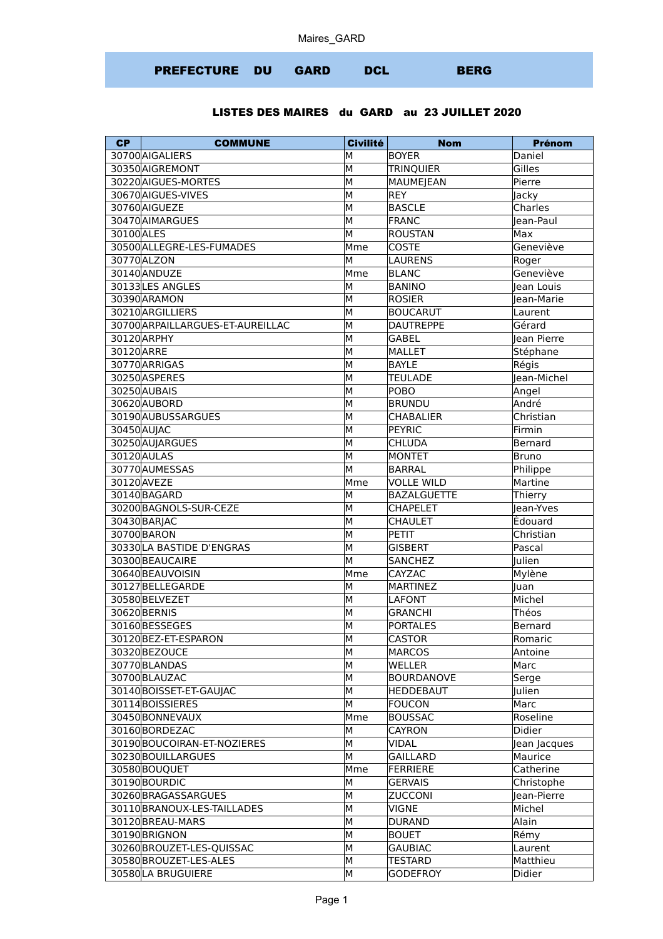## PREFECTURE DU GARD DCL BERG

## LISTES DES MAIRES du GARD au 23 JUILLET 2020

| 30700 AIGALIERS<br><b>BOYER</b><br>Daniel<br>М<br>30350 AIGREMONT<br>M<br>Gilles<br><b>TRINQUIER</b><br>30220 AIGUES-MORTES<br>M<br>MAUMEJEAN<br>Pierre<br>30670 AIGUES-VIVES<br>M<br>REY<br>Jacky<br>30760 AIGUEZE<br>M<br>BASCLE<br>Charles<br>30470 AIMARGUES<br>M<br>FRANC<br>Jean-Paul<br>30100 ALES<br>M<br>ROUSTAN<br>Max<br>30500 ALLEGRE-LES-FUMADES<br>Mme<br><b>COSTE</b><br>Geneviève<br>30770 ALZON<br>M<br><b>LAURENS</b><br>Roger<br>Geneviève<br>30140 ANDUZE<br>Mme<br>BLANC<br>30133LES ANGLES<br>M<br><b>BANINO</b><br>Jean Louis<br>30390 ARAMON<br>M<br>ROSIER<br>lean-Marie<br>30210 ARGILLIERS<br>M<br><b>BOUCARUT</b><br>Laurent<br>30700 ARPAILLARGUES-ET-AUREILLAC<br><b>DAUTREPPE</b><br>М<br>Gérard<br>30120 ARPHY<br>M<br><b>GABEL</b><br>Jean Pierre<br>30120 ARRE<br>M<br><b>MALLET</b><br>Stéphane<br>30770 ARRIGAS<br>M<br><b>BAYLE</b><br>Régis<br>30250 ASPERES<br>M<br>Jean-Michel<br><b>TEULADE</b><br>30250 AUBAIS<br>M<br>POBO<br>Angel<br>M<br>André<br>30620 AUBORD<br><b>BRUNDU</b><br>30190 AUBUSSARGUES<br>M<br>CHABALIER<br>Christian<br>M<br>30450 AUJAC<br>PEYRIC<br>Firmin<br>30250 AUJARGUES<br>M<br>CHLUDA<br>Bernard<br>30120 AULAS<br>M<br>MONTET<br><b>Bruno</b><br>30770AUMESSAS<br>M<br>BARRAL<br>Philippe<br>30120 AVEZE<br><b>VOLLE WILD</b><br>Martine<br>Mme<br>30140 BAGARD<br><b>BAZALGUETTE</b><br>Thierry<br>M<br>30200 BAGNOLS-SUR-CEZE<br>M<br><b>CHAPELET</b><br>Jean-Yves<br>Édouard<br>30430 BARJAC<br>M<br><b>CHAULET</b><br>30700 BARON<br>M<br>PETIT<br>Christian<br>30330 LA BASTIDE D'ENGRAS<br>M<br><b>GISBERT</b><br>Pascal<br>30300 BEAUCAIRE<br>M<br><b>SANCHEZ</b><br>Julien<br>30640 BEAUVOISIN<br><b>CAYZAC</b><br>Mylène<br>Mme<br>30127BELLEGARDE<br>MARTINEZ<br>M<br>luan<br>30580BELVEZET<br>Michel<br>M<br>LAFONT<br>30620 BERNIS<br>M<br>Théos<br><b>GRANCHI</b><br>30160BESSEGES<br>M<br><b>PORTALES</b><br>Bernard<br>30120BEZ-ET-ESPARON<br>М<br><b>CASTOR</b><br>Romaric<br>30320 BEZOUCE<br>М<br><b>MARCOS</b><br>Antoine<br>30770BLANDAS<br>M<br>WELLER<br>Marc<br>30700 BLAUZAC<br>M<br><b>BOURDANOVE</b><br>Serge<br>M<br>Julien<br>30140 BOISSET-ET-GAUJAC<br><b>HEDDEBAUT</b><br>M<br>30114 BOISSIERES<br><b>FOUCON</b><br>Marc<br>30450 BONNEVAUX<br>Mme<br><b>BOUSSAC</b><br>Roseline<br>30160BORDEZAC<br>Didier<br>M<br><b>CAYRON</b><br>30190BOUCOIRAN-ET-NOZIERES<br>M<br><b>VIDAL</b><br>Jean Jacques<br>30230 BOUILLARGUES<br>M<br><b>GAILLARD</b><br>Maurice<br>30580BOUQUET<br>Mme<br>FERRIERE<br>Catherine<br>30190BOURDIC<br>M<br><b>GERVAIS</b><br>Christophe<br>30260 BRAGASSARGUES<br>M<br><b>ZUCCONI</b><br>lean-Pierre<br>M<br><b>VIGNE</b><br>Michel<br>30110 BRANOUX-LES-TAILLADES | <b>CP</b> | <b>COMMUNE</b> | <b>Civilité</b> | <b>Nom</b> | Prénom |
|------------------------------------------------------------------------------------------------------------------------------------------------------------------------------------------------------------------------------------------------------------------------------------------------------------------------------------------------------------------------------------------------------------------------------------------------------------------------------------------------------------------------------------------------------------------------------------------------------------------------------------------------------------------------------------------------------------------------------------------------------------------------------------------------------------------------------------------------------------------------------------------------------------------------------------------------------------------------------------------------------------------------------------------------------------------------------------------------------------------------------------------------------------------------------------------------------------------------------------------------------------------------------------------------------------------------------------------------------------------------------------------------------------------------------------------------------------------------------------------------------------------------------------------------------------------------------------------------------------------------------------------------------------------------------------------------------------------------------------------------------------------------------------------------------------------------------------------------------------------------------------------------------------------------------------------------------------------------------------------------------------------------------------------------------------------------------------------------------------------------------------------------------------------------------------------------------------------------------------------------------------------------------------------------------------------------------------------------------------------------------------------------------------------------------------------------------------------------------------------------------------------------------------------------------------------------------------------------------------------------------------------------------------------------------------------------------|-----------|----------------|-----------------|------------|--------|
|                                                                                                                                                                                                                                                                                                                                                                                                                                                                                                                                                                                                                                                                                                                                                                                                                                                                                                                                                                                                                                                                                                                                                                                                                                                                                                                                                                                                                                                                                                                                                                                                                                                                                                                                                                                                                                                                                                                                                                                                                                                                                                                                                                                                                                                                                                                                                                                                                                                                                                                                                                                                                                                                                                      |           |                |                 |            |        |
|                                                                                                                                                                                                                                                                                                                                                                                                                                                                                                                                                                                                                                                                                                                                                                                                                                                                                                                                                                                                                                                                                                                                                                                                                                                                                                                                                                                                                                                                                                                                                                                                                                                                                                                                                                                                                                                                                                                                                                                                                                                                                                                                                                                                                                                                                                                                                                                                                                                                                                                                                                                                                                                                                                      |           |                |                 |            |        |
|                                                                                                                                                                                                                                                                                                                                                                                                                                                                                                                                                                                                                                                                                                                                                                                                                                                                                                                                                                                                                                                                                                                                                                                                                                                                                                                                                                                                                                                                                                                                                                                                                                                                                                                                                                                                                                                                                                                                                                                                                                                                                                                                                                                                                                                                                                                                                                                                                                                                                                                                                                                                                                                                                                      |           |                |                 |            |        |
|                                                                                                                                                                                                                                                                                                                                                                                                                                                                                                                                                                                                                                                                                                                                                                                                                                                                                                                                                                                                                                                                                                                                                                                                                                                                                                                                                                                                                                                                                                                                                                                                                                                                                                                                                                                                                                                                                                                                                                                                                                                                                                                                                                                                                                                                                                                                                                                                                                                                                                                                                                                                                                                                                                      |           |                |                 |            |        |
|                                                                                                                                                                                                                                                                                                                                                                                                                                                                                                                                                                                                                                                                                                                                                                                                                                                                                                                                                                                                                                                                                                                                                                                                                                                                                                                                                                                                                                                                                                                                                                                                                                                                                                                                                                                                                                                                                                                                                                                                                                                                                                                                                                                                                                                                                                                                                                                                                                                                                                                                                                                                                                                                                                      |           |                |                 |            |        |
|                                                                                                                                                                                                                                                                                                                                                                                                                                                                                                                                                                                                                                                                                                                                                                                                                                                                                                                                                                                                                                                                                                                                                                                                                                                                                                                                                                                                                                                                                                                                                                                                                                                                                                                                                                                                                                                                                                                                                                                                                                                                                                                                                                                                                                                                                                                                                                                                                                                                                                                                                                                                                                                                                                      |           |                |                 |            |        |
|                                                                                                                                                                                                                                                                                                                                                                                                                                                                                                                                                                                                                                                                                                                                                                                                                                                                                                                                                                                                                                                                                                                                                                                                                                                                                                                                                                                                                                                                                                                                                                                                                                                                                                                                                                                                                                                                                                                                                                                                                                                                                                                                                                                                                                                                                                                                                                                                                                                                                                                                                                                                                                                                                                      |           |                |                 |            |        |
|                                                                                                                                                                                                                                                                                                                                                                                                                                                                                                                                                                                                                                                                                                                                                                                                                                                                                                                                                                                                                                                                                                                                                                                                                                                                                                                                                                                                                                                                                                                                                                                                                                                                                                                                                                                                                                                                                                                                                                                                                                                                                                                                                                                                                                                                                                                                                                                                                                                                                                                                                                                                                                                                                                      |           |                |                 |            |        |
|                                                                                                                                                                                                                                                                                                                                                                                                                                                                                                                                                                                                                                                                                                                                                                                                                                                                                                                                                                                                                                                                                                                                                                                                                                                                                                                                                                                                                                                                                                                                                                                                                                                                                                                                                                                                                                                                                                                                                                                                                                                                                                                                                                                                                                                                                                                                                                                                                                                                                                                                                                                                                                                                                                      |           |                |                 |            |        |
|                                                                                                                                                                                                                                                                                                                                                                                                                                                                                                                                                                                                                                                                                                                                                                                                                                                                                                                                                                                                                                                                                                                                                                                                                                                                                                                                                                                                                                                                                                                                                                                                                                                                                                                                                                                                                                                                                                                                                                                                                                                                                                                                                                                                                                                                                                                                                                                                                                                                                                                                                                                                                                                                                                      |           |                |                 |            |        |
|                                                                                                                                                                                                                                                                                                                                                                                                                                                                                                                                                                                                                                                                                                                                                                                                                                                                                                                                                                                                                                                                                                                                                                                                                                                                                                                                                                                                                                                                                                                                                                                                                                                                                                                                                                                                                                                                                                                                                                                                                                                                                                                                                                                                                                                                                                                                                                                                                                                                                                                                                                                                                                                                                                      |           |                |                 |            |        |
|                                                                                                                                                                                                                                                                                                                                                                                                                                                                                                                                                                                                                                                                                                                                                                                                                                                                                                                                                                                                                                                                                                                                                                                                                                                                                                                                                                                                                                                                                                                                                                                                                                                                                                                                                                                                                                                                                                                                                                                                                                                                                                                                                                                                                                                                                                                                                                                                                                                                                                                                                                                                                                                                                                      |           |                |                 |            |        |
|                                                                                                                                                                                                                                                                                                                                                                                                                                                                                                                                                                                                                                                                                                                                                                                                                                                                                                                                                                                                                                                                                                                                                                                                                                                                                                                                                                                                                                                                                                                                                                                                                                                                                                                                                                                                                                                                                                                                                                                                                                                                                                                                                                                                                                                                                                                                                                                                                                                                                                                                                                                                                                                                                                      |           |                |                 |            |        |
|                                                                                                                                                                                                                                                                                                                                                                                                                                                                                                                                                                                                                                                                                                                                                                                                                                                                                                                                                                                                                                                                                                                                                                                                                                                                                                                                                                                                                                                                                                                                                                                                                                                                                                                                                                                                                                                                                                                                                                                                                                                                                                                                                                                                                                                                                                                                                                                                                                                                                                                                                                                                                                                                                                      |           |                |                 |            |        |
|                                                                                                                                                                                                                                                                                                                                                                                                                                                                                                                                                                                                                                                                                                                                                                                                                                                                                                                                                                                                                                                                                                                                                                                                                                                                                                                                                                                                                                                                                                                                                                                                                                                                                                                                                                                                                                                                                                                                                                                                                                                                                                                                                                                                                                                                                                                                                                                                                                                                                                                                                                                                                                                                                                      |           |                |                 |            |        |
|                                                                                                                                                                                                                                                                                                                                                                                                                                                                                                                                                                                                                                                                                                                                                                                                                                                                                                                                                                                                                                                                                                                                                                                                                                                                                                                                                                                                                                                                                                                                                                                                                                                                                                                                                                                                                                                                                                                                                                                                                                                                                                                                                                                                                                                                                                                                                                                                                                                                                                                                                                                                                                                                                                      |           |                |                 |            |        |
|                                                                                                                                                                                                                                                                                                                                                                                                                                                                                                                                                                                                                                                                                                                                                                                                                                                                                                                                                                                                                                                                                                                                                                                                                                                                                                                                                                                                                                                                                                                                                                                                                                                                                                                                                                                                                                                                                                                                                                                                                                                                                                                                                                                                                                                                                                                                                                                                                                                                                                                                                                                                                                                                                                      |           |                |                 |            |        |
|                                                                                                                                                                                                                                                                                                                                                                                                                                                                                                                                                                                                                                                                                                                                                                                                                                                                                                                                                                                                                                                                                                                                                                                                                                                                                                                                                                                                                                                                                                                                                                                                                                                                                                                                                                                                                                                                                                                                                                                                                                                                                                                                                                                                                                                                                                                                                                                                                                                                                                                                                                                                                                                                                                      |           |                |                 |            |        |
|                                                                                                                                                                                                                                                                                                                                                                                                                                                                                                                                                                                                                                                                                                                                                                                                                                                                                                                                                                                                                                                                                                                                                                                                                                                                                                                                                                                                                                                                                                                                                                                                                                                                                                                                                                                                                                                                                                                                                                                                                                                                                                                                                                                                                                                                                                                                                                                                                                                                                                                                                                                                                                                                                                      |           |                |                 |            |        |
|                                                                                                                                                                                                                                                                                                                                                                                                                                                                                                                                                                                                                                                                                                                                                                                                                                                                                                                                                                                                                                                                                                                                                                                                                                                                                                                                                                                                                                                                                                                                                                                                                                                                                                                                                                                                                                                                                                                                                                                                                                                                                                                                                                                                                                                                                                                                                                                                                                                                                                                                                                                                                                                                                                      |           |                |                 |            |        |
|                                                                                                                                                                                                                                                                                                                                                                                                                                                                                                                                                                                                                                                                                                                                                                                                                                                                                                                                                                                                                                                                                                                                                                                                                                                                                                                                                                                                                                                                                                                                                                                                                                                                                                                                                                                                                                                                                                                                                                                                                                                                                                                                                                                                                                                                                                                                                                                                                                                                                                                                                                                                                                                                                                      |           |                |                 |            |        |
|                                                                                                                                                                                                                                                                                                                                                                                                                                                                                                                                                                                                                                                                                                                                                                                                                                                                                                                                                                                                                                                                                                                                                                                                                                                                                                                                                                                                                                                                                                                                                                                                                                                                                                                                                                                                                                                                                                                                                                                                                                                                                                                                                                                                                                                                                                                                                                                                                                                                                                                                                                                                                                                                                                      |           |                |                 |            |        |
|                                                                                                                                                                                                                                                                                                                                                                                                                                                                                                                                                                                                                                                                                                                                                                                                                                                                                                                                                                                                                                                                                                                                                                                                                                                                                                                                                                                                                                                                                                                                                                                                                                                                                                                                                                                                                                                                                                                                                                                                                                                                                                                                                                                                                                                                                                                                                                                                                                                                                                                                                                                                                                                                                                      |           |                |                 |            |        |
|                                                                                                                                                                                                                                                                                                                                                                                                                                                                                                                                                                                                                                                                                                                                                                                                                                                                                                                                                                                                                                                                                                                                                                                                                                                                                                                                                                                                                                                                                                                                                                                                                                                                                                                                                                                                                                                                                                                                                                                                                                                                                                                                                                                                                                                                                                                                                                                                                                                                                                                                                                                                                                                                                                      |           |                |                 |            |        |
|                                                                                                                                                                                                                                                                                                                                                                                                                                                                                                                                                                                                                                                                                                                                                                                                                                                                                                                                                                                                                                                                                                                                                                                                                                                                                                                                                                                                                                                                                                                                                                                                                                                                                                                                                                                                                                                                                                                                                                                                                                                                                                                                                                                                                                                                                                                                                                                                                                                                                                                                                                                                                                                                                                      |           |                |                 |            |        |
|                                                                                                                                                                                                                                                                                                                                                                                                                                                                                                                                                                                                                                                                                                                                                                                                                                                                                                                                                                                                                                                                                                                                                                                                                                                                                                                                                                                                                                                                                                                                                                                                                                                                                                                                                                                                                                                                                                                                                                                                                                                                                                                                                                                                                                                                                                                                                                                                                                                                                                                                                                                                                                                                                                      |           |                |                 |            |        |
|                                                                                                                                                                                                                                                                                                                                                                                                                                                                                                                                                                                                                                                                                                                                                                                                                                                                                                                                                                                                                                                                                                                                                                                                                                                                                                                                                                                                                                                                                                                                                                                                                                                                                                                                                                                                                                                                                                                                                                                                                                                                                                                                                                                                                                                                                                                                                                                                                                                                                                                                                                                                                                                                                                      |           |                |                 |            |        |
|                                                                                                                                                                                                                                                                                                                                                                                                                                                                                                                                                                                                                                                                                                                                                                                                                                                                                                                                                                                                                                                                                                                                                                                                                                                                                                                                                                                                                                                                                                                                                                                                                                                                                                                                                                                                                                                                                                                                                                                                                                                                                                                                                                                                                                                                                                                                                                                                                                                                                                                                                                                                                                                                                                      |           |                |                 |            |        |
|                                                                                                                                                                                                                                                                                                                                                                                                                                                                                                                                                                                                                                                                                                                                                                                                                                                                                                                                                                                                                                                                                                                                                                                                                                                                                                                                                                                                                                                                                                                                                                                                                                                                                                                                                                                                                                                                                                                                                                                                                                                                                                                                                                                                                                                                                                                                                                                                                                                                                                                                                                                                                                                                                                      |           |                |                 |            |        |
|                                                                                                                                                                                                                                                                                                                                                                                                                                                                                                                                                                                                                                                                                                                                                                                                                                                                                                                                                                                                                                                                                                                                                                                                                                                                                                                                                                                                                                                                                                                                                                                                                                                                                                                                                                                                                                                                                                                                                                                                                                                                                                                                                                                                                                                                                                                                                                                                                                                                                                                                                                                                                                                                                                      |           |                |                 |            |        |
|                                                                                                                                                                                                                                                                                                                                                                                                                                                                                                                                                                                                                                                                                                                                                                                                                                                                                                                                                                                                                                                                                                                                                                                                                                                                                                                                                                                                                                                                                                                                                                                                                                                                                                                                                                                                                                                                                                                                                                                                                                                                                                                                                                                                                                                                                                                                                                                                                                                                                                                                                                                                                                                                                                      |           |                |                 |            |        |
|                                                                                                                                                                                                                                                                                                                                                                                                                                                                                                                                                                                                                                                                                                                                                                                                                                                                                                                                                                                                                                                                                                                                                                                                                                                                                                                                                                                                                                                                                                                                                                                                                                                                                                                                                                                                                                                                                                                                                                                                                                                                                                                                                                                                                                                                                                                                                                                                                                                                                                                                                                                                                                                                                                      |           |                |                 |            |        |
|                                                                                                                                                                                                                                                                                                                                                                                                                                                                                                                                                                                                                                                                                                                                                                                                                                                                                                                                                                                                                                                                                                                                                                                                                                                                                                                                                                                                                                                                                                                                                                                                                                                                                                                                                                                                                                                                                                                                                                                                                                                                                                                                                                                                                                                                                                                                                                                                                                                                                                                                                                                                                                                                                                      |           |                |                 |            |        |
|                                                                                                                                                                                                                                                                                                                                                                                                                                                                                                                                                                                                                                                                                                                                                                                                                                                                                                                                                                                                                                                                                                                                                                                                                                                                                                                                                                                                                                                                                                                                                                                                                                                                                                                                                                                                                                                                                                                                                                                                                                                                                                                                                                                                                                                                                                                                                                                                                                                                                                                                                                                                                                                                                                      |           |                |                 |            |        |
|                                                                                                                                                                                                                                                                                                                                                                                                                                                                                                                                                                                                                                                                                                                                                                                                                                                                                                                                                                                                                                                                                                                                                                                                                                                                                                                                                                                                                                                                                                                                                                                                                                                                                                                                                                                                                                                                                                                                                                                                                                                                                                                                                                                                                                                                                                                                                                                                                                                                                                                                                                                                                                                                                                      |           |                |                 |            |        |
|                                                                                                                                                                                                                                                                                                                                                                                                                                                                                                                                                                                                                                                                                                                                                                                                                                                                                                                                                                                                                                                                                                                                                                                                                                                                                                                                                                                                                                                                                                                                                                                                                                                                                                                                                                                                                                                                                                                                                                                                                                                                                                                                                                                                                                                                                                                                                                                                                                                                                                                                                                                                                                                                                                      |           |                |                 |            |        |
|                                                                                                                                                                                                                                                                                                                                                                                                                                                                                                                                                                                                                                                                                                                                                                                                                                                                                                                                                                                                                                                                                                                                                                                                                                                                                                                                                                                                                                                                                                                                                                                                                                                                                                                                                                                                                                                                                                                                                                                                                                                                                                                                                                                                                                                                                                                                                                                                                                                                                                                                                                                                                                                                                                      |           |                |                 |            |        |
|                                                                                                                                                                                                                                                                                                                                                                                                                                                                                                                                                                                                                                                                                                                                                                                                                                                                                                                                                                                                                                                                                                                                                                                                                                                                                                                                                                                                                                                                                                                                                                                                                                                                                                                                                                                                                                                                                                                                                                                                                                                                                                                                                                                                                                                                                                                                                                                                                                                                                                                                                                                                                                                                                                      |           |                |                 |            |        |
|                                                                                                                                                                                                                                                                                                                                                                                                                                                                                                                                                                                                                                                                                                                                                                                                                                                                                                                                                                                                                                                                                                                                                                                                                                                                                                                                                                                                                                                                                                                                                                                                                                                                                                                                                                                                                                                                                                                                                                                                                                                                                                                                                                                                                                                                                                                                                                                                                                                                                                                                                                                                                                                                                                      |           |                |                 |            |        |
|                                                                                                                                                                                                                                                                                                                                                                                                                                                                                                                                                                                                                                                                                                                                                                                                                                                                                                                                                                                                                                                                                                                                                                                                                                                                                                                                                                                                                                                                                                                                                                                                                                                                                                                                                                                                                                                                                                                                                                                                                                                                                                                                                                                                                                                                                                                                                                                                                                                                                                                                                                                                                                                                                                      |           |                |                 |            |        |
|                                                                                                                                                                                                                                                                                                                                                                                                                                                                                                                                                                                                                                                                                                                                                                                                                                                                                                                                                                                                                                                                                                                                                                                                                                                                                                                                                                                                                                                                                                                                                                                                                                                                                                                                                                                                                                                                                                                                                                                                                                                                                                                                                                                                                                                                                                                                                                                                                                                                                                                                                                                                                                                                                                      |           |                |                 |            |        |
|                                                                                                                                                                                                                                                                                                                                                                                                                                                                                                                                                                                                                                                                                                                                                                                                                                                                                                                                                                                                                                                                                                                                                                                                                                                                                                                                                                                                                                                                                                                                                                                                                                                                                                                                                                                                                                                                                                                                                                                                                                                                                                                                                                                                                                                                                                                                                                                                                                                                                                                                                                                                                                                                                                      |           |                |                 |            |        |
|                                                                                                                                                                                                                                                                                                                                                                                                                                                                                                                                                                                                                                                                                                                                                                                                                                                                                                                                                                                                                                                                                                                                                                                                                                                                                                                                                                                                                                                                                                                                                                                                                                                                                                                                                                                                                                                                                                                                                                                                                                                                                                                                                                                                                                                                                                                                                                                                                                                                                                                                                                                                                                                                                                      |           |                |                 |            |        |
|                                                                                                                                                                                                                                                                                                                                                                                                                                                                                                                                                                                                                                                                                                                                                                                                                                                                                                                                                                                                                                                                                                                                                                                                                                                                                                                                                                                                                                                                                                                                                                                                                                                                                                                                                                                                                                                                                                                                                                                                                                                                                                                                                                                                                                                                                                                                                                                                                                                                                                                                                                                                                                                                                                      |           |                |                 |            |        |
|                                                                                                                                                                                                                                                                                                                                                                                                                                                                                                                                                                                                                                                                                                                                                                                                                                                                                                                                                                                                                                                                                                                                                                                                                                                                                                                                                                                                                                                                                                                                                                                                                                                                                                                                                                                                                                                                                                                                                                                                                                                                                                                                                                                                                                                                                                                                                                                                                                                                                                                                                                                                                                                                                                      |           |                |                 |            |        |
|                                                                                                                                                                                                                                                                                                                                                                                                                                                                                                                                                                                                                                                                                                                                                                                                                                                                                                                                                                                                                                                                                                                                                                                                                                                                                                                                                                                                                                                                                                                                                                                                                                                                                                                                                                                                                                                                                                                                                                                                                                                                                                                                                                                                                                                                                                                                                                                                                                                                                                                                                                                                                                                                                                      |           |                |                 |            |        |
|                                                                                                                                                                                                                                                                                                                                                                                                                                                                                                                                                                                                                                                                                                                                                                                                                                                                                                                                                                                                                                                                                                                                                                                                                                                                                                                                                                                                                                                                                                                                                                                                                                                                                                                                                                                                                                                                                                                                                                                                                                                                                                                                                                                                                                                                                                                                                                                                                                                                                                                                                                                                                                                                                                      |           |                |                 |            |        |
|                                                                                                                                                                                                                                                                                                                                                                                                                                                                                                                                                                                                                                                                                                                                                                                                                                                                                                                                                                                                                                                                                                                                                                                                                                                                                                                                                                                                                                                                                                                                                                                                                                                                                                                                                                                                                                                                                                                                                                                                                                                                                                                                                                                                                                                                                                                                                                                                                                                                                                                                                                                                                                                                                                      |           |                |                 |            |        |
|                                                                                                                                                                                                                                                                                                                                                                                                                                                                                                                                                                                                                                                                                                                                                                                                                                                                                                                                                                                                                                                                                                                                                                                                                                                                                                                                                                                                                                                                                                                                                                                                                                                                                                                                                                                                                                                                                                                                                                                                                                                                                                                                                                                                                                                                                                                                                                                                                                                                                                                                                                                                                                                                                                      |           |                |                 |            |        |
|                                                                                                                                                                                                                                                                                                                                                                                                                                                                                                                                                                                                                                                                                                                                                                                                                                                                                                                                                                                                                                                                                                                                                                                                                                                                                                                                                                                                                                                                                                                                                                                                                                                                                                                                                                                                                                                                                                                                                                                                                                                                                                                                                                                                                                                                                                                                                                                                                                                                                                                                                                                                                                                                                                      |           |                |                 |            |        |
|                                                                                                                                                                                                                                                                                                                                                                                                                                                                                                                                                                                                                                                                                                                                                                                                                                                                                                                                                                                                                                                                                                                                                                                                                                                                                                                                                                                                                                                                                                                                                                                                                                                                                                                                                                                                                                                                                                                                                                                                                                                                                                                                                                                                                                                                                                                                                                                                                                                                                                                                                                                                                                                                                                      |           |                |                 |            |        |
| 30120 BREAU-MARS<br>M<br><b>DURAND</b><br>Alain                                                                                                                                                                                                                                                                                                                                                                                                                                                                                                                                                                                                                                                                                                                                                                                                                                                                                                                                                                                                                                                                                                                                                                                                                                                                                                                                                                                                                                                                                                                                                                                                                                                                                                                                                                                                                                                                                                                                                                                                                                                                                                                                                                                                                                                                                                                                                                                                                                                                                                                                                                                                                                                      |           |                |                 |            |        |
| 30190 BRIGNON<br>M<br><b>BOUET</b><br>Rémy                                                                                                                                                                                                                                                                                                                                                                                                                                                                                                                                                                                                                                                                                                                                                                                                                                                                                                                                                                                                                                                                                                                                                                                                                                                                                                                                                                                                                                                                                                                                                                                                                                                                                                                                                                                                                                                                                                                                                                                                                                                                                                                                                                                                                                                                                                                                                                                                                                                                                                                                                                                                                                                           |           |                |                 |            |        |
| 30260 BROUZET-LES-QUISSAC<br>M<br><b>GAUBIAC</b><br>Laurent                                                                                                                                                                                                                                                                                                                                                                                                                                                                                                                                                                                                                                                                                                                                                                                                                                                                                                                                                                                                                                                                                                                                                                                                                                                                                                                                                                                                                                                                                                                                                                                                                                                                                                                                                                                                                                                                                                                                                                                                                                                                                                                                                                                                                                                                                                                                                                                                                                                                                                                                                                                                                                          |           |                |                 |            |        |
| 30580 BROUZET-LES-ALES<br>Matthieu<br>TESTARD<br>М                                                                                                                                                                                                                                                                                                                                                                                                                                                                                                                                                                                                                                                                                                                                                                                                                                                                                                                                                                                                                                                                                                                                                                                                                                                                                                                                                                                                                                                                                                                                                                                                                                                                                                                                                                                                                                                                                                                                                                                                                                                                                                                                                                                                                                                                                                                                                                                                                                                                                                                                                                                                                                                   |           |                |                 |            |        |
| 30580 LA BRUGUIERE<br>M<br><b>GODEFROY</b><br>Didier                                                                                                                                                                                                                                                                                                                                                                                                                                                                                                                                                                                                                                                                                                                                                                                                                                                                                                                                                                                                                                                                                                                                                                                                                                                                                                                                                                                                                                                                                                                                                                                                                                                                                                                                                                                                                                                                                                                                                                                                                                                                                                                                                                                                                                                                                                                                                                                                                                                                                                                                                                                                                                                 |           |                |                 |            |        |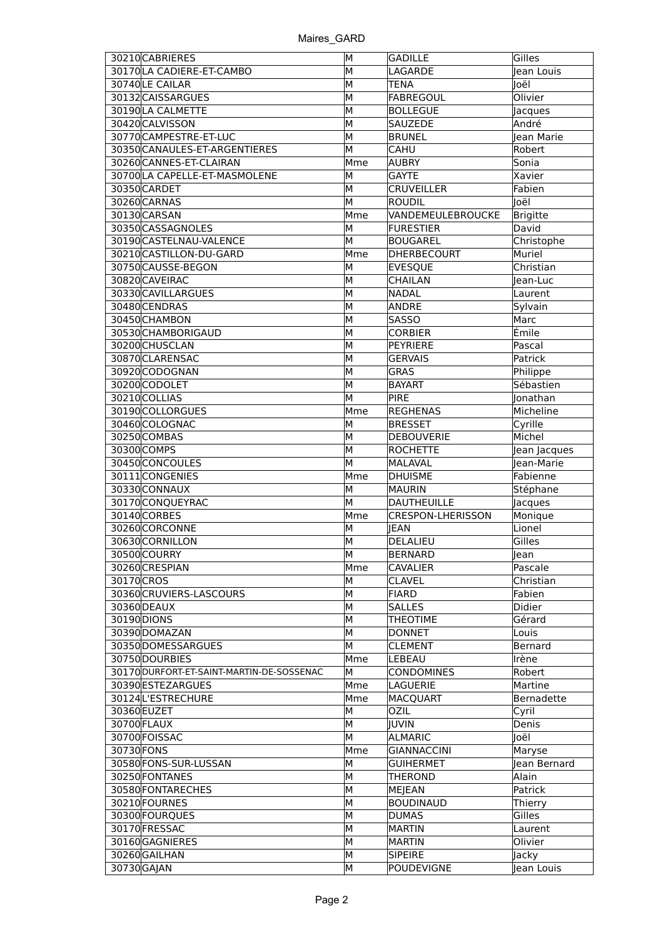| 30210CABRIERES                            | M   | GADILLE                  | Gilles       |
|-------------------------------------------|-----|--------------------------|--------------|
| 30170 LA CADIERE-ET-CAMBO                 | M   | LAGARDE                  | Jean Louis   |
| 30740LE CAILAR                            | M   | TENA                     | Joël         |
| 30132 CAISSARGUES                         | M   | FABREGOUL                | Olivier      |
| 30190LA CALMETTE                          | M   | <b>BOLLEGUE</b>          | Jacques      |
| 30420 CALVISSON                           | M   | <b>SAUZEDE</b>           | André        |
| 30770 CAMPESTRE-ET-LUC                    | M   | <b>BRUNEL</b>            | Jean Marie   |
| 30350 CANAULES-ET-ARGENTIERES             | M   | <b>CAHU</b>              | Robert       |
| 30260 CANNES-ET-CLAIRAN                   | Mme | AUBRY                    | Sonia        |
| 30700 LA CAPELLE-ET-MASMOLENE             | M   | <b>GAYTE</b>             | Xavier       |
| 30350 CARDET                              | M   | <b>CRUVEILLER</b>        | Fabien       |
| 30260 CARNAS                              | M   | <b>ROUDIL</b>            | Joël         |
| 30130 CARSAN                              | Mme | VANDEMEULEBROUCKE        | Brigitte     |
| 30350 CASSAGNOLES                         | M   | <b>FURESTIER</b>         | David        |
| 30190 CASTELNAU-VALENCE                   | M   | BOUGAREL                 | Christophe   |
| 30210 CASTILLON-DU-GARD                   | Mme | DHERBECOURT              | Muriel       |
| 30750 CAUSSE-BEGON                        | М   | <b>EVESQUE</b>           | Christian    |
| 30820 CAVEIRAC                            | М   | <b>CHAILAN</b>           | lean-Luc     |
| 30330 CAVILLARGUES                        | M   | NADAL                    | Laurent      |
| 30480 CENDRAS                             | M   | ANDRE                    | Sylvain      |
| 30450CHAMBON                              | M   | <b>SASSO</b>             | Marc         |
| 30530 CHAMBORIGAUD                        | M   | <b>CORBIER</b>           | Émile        |
| 30200CHUSCLAN                             | M   | PEYRIERE                 | Pascal       |
| 30870 CLARENSAC                           | M   | <b>GERVAIS</b>           | Patrick      |
| 30920 CODOGNAN                            | M   | <b>GRAS</b>              | Philippe     |
| 30200CODOLET                              | M   | <b>BAYART</b>            | Sébastien    |
| 30210COLLIAS                              | M   | <b>PIRE</b>              | Jonathan     |
| 30190 COLLORGUES                          | Mme | <b>REGHENAS</b>          | Micheline    |
| 30460COLOGNAC                             | M   | <b>BRESSET</b>           | Cyrille      |
| 30250COMBAS                               | M   | DEBOUVERIE               | Michel       |
| 30300COMPS                                | M   | ROCHETTE                 | Jean Jacques |
| 30450CONCOULES                            | M   | MALAVAL                  | Jean-Marie   |
| 30111CONGENIES                            | Mme | <b>DHUISME</b>           | Fabienne     |
| 30330 CONNAUX                             | M   | MAURIN                   | Stéphane     |
| 30170CONQUEYRAC                           | M   | DAUTHEUILLE              | Jacques      |
| 30140 CORBES                              | Mme | <b>CRESPON-LHERISSON</b> | Monique      |
| 30260CORCONNE                             | M   | <b>JEAN</b>              | Lionel       |
| 30630 CORNILLON                           | M   | DELALIEU                 | Gilles       |
| 30500COURRY                               | M   | BERNARD                  | lean         |
| 30260 CRESPIAN                            | Mme | <b>CAVALIER</b>          | Pascale      |
| 30170 CROS                                | М   | <b>CLAVEL</b>            | Christian    |
| 30360 CRUVIERS-LASCOURS                   | M   | FIARD                    | Fabien       |
| 30360 DEAUX                               | М   | <b>SALLES</b>            | Didier       |
| 30190 DIONS                               | M   | <b>THEOTIME</b>          | Gérard       |
| 30390 DOMAZAN                             | M   | DONNET                   | Louis        |
| 30350 DOMESSARGUES                        | M   | <b>CLEMENT</b>           | Bernard      |
| 30750 DOURBIES                            | Mme | LEBEAU                   | Irène        |
| 30170 DURFORT-ET-SAINT-MARTIN-DE-SOSSENAC | М   | <b>CONDOMINES</b>        | Robert       |
| 30390 ESTEZARGUES                         | Mme | LAGUERIE                 | Martine      |
| 30124L'ESTRECHURE                         | Mme | <b>MACQUART</b>          | Bernadette   |
| 30360 EUZET                               | M   | <b>OZIL</b>              | Cyril        |
| 30700 FLAUX                               | М   | JUVIN                    | Denis        |
| 30700 FOISSAC                             | M   | <b>ALMARIC</b>           | Joël         |
| 30730 FONS                                | Mme | GIANNACCINI              | Maryse       |
| 30580 FONS-SUR-LUSSAN                     | М   | <b>GUIHERMET</b>         | Jean Bernard |
| 30250 FONTANES                            | M   | <b>THEROND</b>           | Alain        |
| 30580 FONTARECHES                         | M   | MEJEAN                   | Patrick      |
| 30210 FOURNES                             | M   | BOUDINAUD                | Thierry      |
| 30300 FOURQUES                            | M   | DUMAS                    | Gilles       |
| 30170 FRESSAC                             | M   | MARTIN                   | Laurent      |
| 30160GAGNIERES                            | M   | MARTIN                   | Olivier      |
| 30260GAILHAN                              | M   | <b>SIPEIRE</b>           | Jacky        |
| 30730 GAJAN                               | M   | POUDEVIGNE               | Jean Louis   |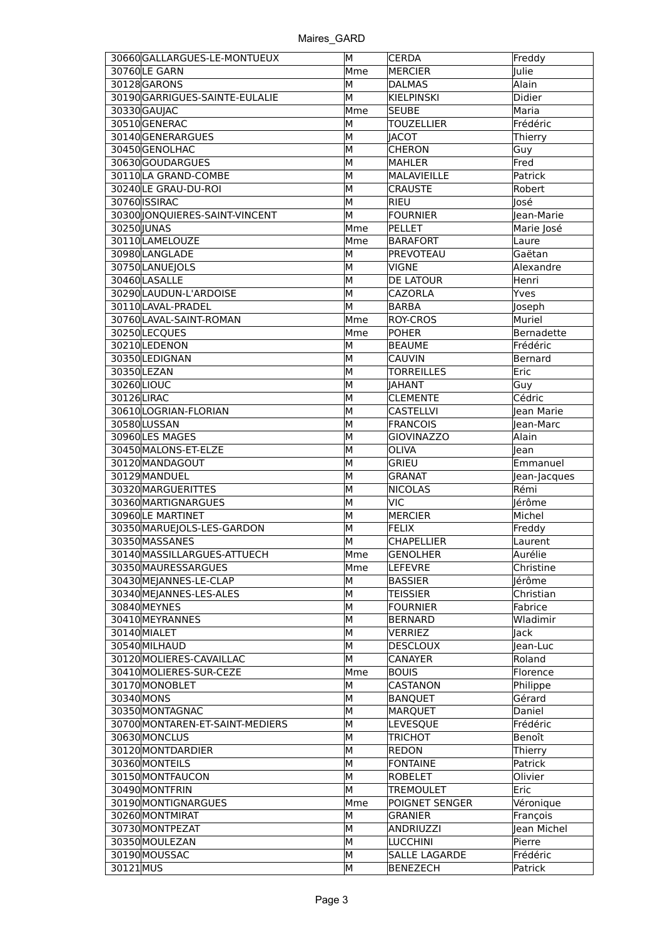| 30660 GALLARGUES-LE-MONTUEUX    | М   | <b>CERDA</b>         | Freddy       |
|---------------------------------|-----|----------------------|--------------|
| 30760LE GARN                    | Mme | MERCIER              | Julie        |
| 30128 GARONS                    | м   | <b>DALMAS</b>        | Alain        |
| 30190GARRIGUES-SAINTE-EULALIE   | M   | KIELPINSKI           | Didier       |
| 30330 GAUIAC                    | Mme | <b>SEUBE</b>         | Maria        |
| 30510GENERAC                    | M   | <b>TOUZELLIER</b>    | Frédéric     |
| 30140 GENERARGUES               | M   | <b>IACOT</b>         | Thierry      |
| 30450GENOLHAC                   | M   | <b>CHERON</b>        | Guy          |
| 30630GOUDARGUES                 | м   | <b>MAHLER</b>        | Fred         |
| 30110LA GRAND-COMBE             | м   | MALAVIEILLE          | Patrick      |
| 30240 LE GRAU-DU-ROI            | M   | <b>CRAUSTE</b>       | Robert       |
| 30760 ISSIRAC                   | м   | RIEU                 | José         |
| 30300 JONQUIERES-SAINT-VINCENT  | м   | <b>FOURNIER</b>      | Jean-Marie   |
| 30250 JUNAS                     | Mme | PELLET               |              |
|                                 |     |                      | Marie José   |
| 30110LAMELOUZE                  | Mme | <b>BARAFORT</b>      | Laure        |
| 30980 LANGLADE                  | M   | PREVOTEAU            | Gaëtan       |
| 30750 LANUEJOLS                 | м   | <b>VIGNE</b>         | Alexandre    |
| 30460LASALLE                    | м   | <b>DE LATOUR</b>     | Henri        |
| 30290 LAUDUN-L'ARDOISE          | M   | <b>CAZORLA</b>       | Yves         |
| 30110LAVAL-PRADEL               | м   | BARBA                | Joseph       |
| 30760 LAVAL-SAINT-ROMAN         | Mme | <b>ROY-CROS</b>      | Muriel       |
| 30250LECQUES                    | Mme | POHER                | Bernadette   |
| 30210LEDENON                    | м   | <b>BEAUME</b>        | Frédéric     |
| 30350LEDIGNAN                   | м   | <b>CAUVIN</b>        | Bernard      |
| 30350LEZAN                      | м   | TORREILLES           | Eric         |
| 30260LIOUC                      | M   | <b>IAHANT</b>        | Guy          |
| 30126LIRAC                      | M   | <b>CLEMENTE</b>      | Cédric       |
| 30610 LOGRIAN-FLORIAN           | M   | <b>CASTELLVI</b>     | Jean Marie   |
| 30580LUSSAN                     | M   | <b>FRANCOIS</b>      | Jean-Marc    |
| 30960LES MAGES                  | м   | <b>GIOVINAZZO</b>    | Alain        |
| 30450 MALONS-ET-ELZE            | м   | <b>OLIVA</b>         | lean         |
| 30120 MANDAGOUT                 | м   | <b>GRIEU</b>         | Emmanuel     |
| 30129 MANDUEL                   | м   | <b>GRANAT</b>        | Jean-Jacques |
| 30320 MARGUERITTES              | м   | <b>NICOLAS</b>       | Rémi         |
| 30360 MARTIGNARGUES             | М   | <b>VIC</b>           | Jérôme       |
| 30960LE MARTINET                | М   | MERCIER              | Michel       |
| 30350 MARUEJOLS-LES-GARDON      | м   | FELIX                | Freddy       |
| 30350 MASSANES                  | м   | <b>CHAPELLIER</b>    | Laurent      |
| 30140 MASSILLARGUES-ATTUECH     | Mme | GENOLHER             | Aurélie      |
| 30350 MAURESSARGUES             | Mme | <b>LEFEVRE</b>       | Christine    |
| 30430 MEJANNES-LE-CLAP          | м   | <b>BASSIER</b>       | Jérôme       |
| 30340 MEJANNES-LES-ALES         | м   | <b>TEISSIER</b>      | Christian    |
| 30840 MEYNES                    | м   | <b>FOURNIER</b>      | Fabrice      |
| 30410 MEYRANNES                 | м   | BERNARD              | Wladimir     |
| 30140 MIALET                    | M   | <b>VERRIEZ</b>       | Jack         |
| 30540 MILHAUD                   | М   | <b>DESCLOUX</b>      | Jean-Luc     |
| 30120 MOLIERES-CAVAILLAC        | М   | CANAYER              | Roland       |
| 30410 MOLIERES-SUR-CEZE         | Mme | <b>BOUIS</b>         | Florence     |
| 30170 MONOBLET                  | M   | <b>CASTANON</b>      | Philippe     |
| 30340 MONS                      | M   | <b>BANQUET</b>       | Gérard       |
| 30350 MONTAGNAC                 | M   |                      | Daniel       |
| 30700 MONTAREN-ET-SAINT-MEDIERS | М   | MARQUET<br>LEVESQUE  | Frédéric     |
|                                 | М   |                      |              |
| 30630 MONCLUS                   |     | <b>TRICHOT</b>       | Benoît       |
| 30120 MONTDARDIER               | м   | REDON                | Thierry      |
| 30360 MONTEILS                  | м   | FONTAINE             | Patrick      |
| 30150 MONTFAUCON                | M   | ROBELET              | Olivier      |
| 30490 MONTFRIN                  | М   | <b>TREMOULET</b>     | Eric         |
| 30190 MONTIGNARGUES             | Mme | POIGNET SENGER       | Véronique    |
| 30260 MONTMIRAT                 | м   | <b>GRANIER</b>       | François     |
| 30730 MONTPEZAT                 | м   | ANDRIUZZI            | Jean Michel  |
| 30350 MOULEZAN                  | М   | LUCCHINI             | Pierre       |
| 30190 MOUSSAC                   | М   | <b>SALLE LAGARDE</b> | Frédéric     |
| 30121MUS                        | М   | <b>BENEZECH</b>      | Patrick      |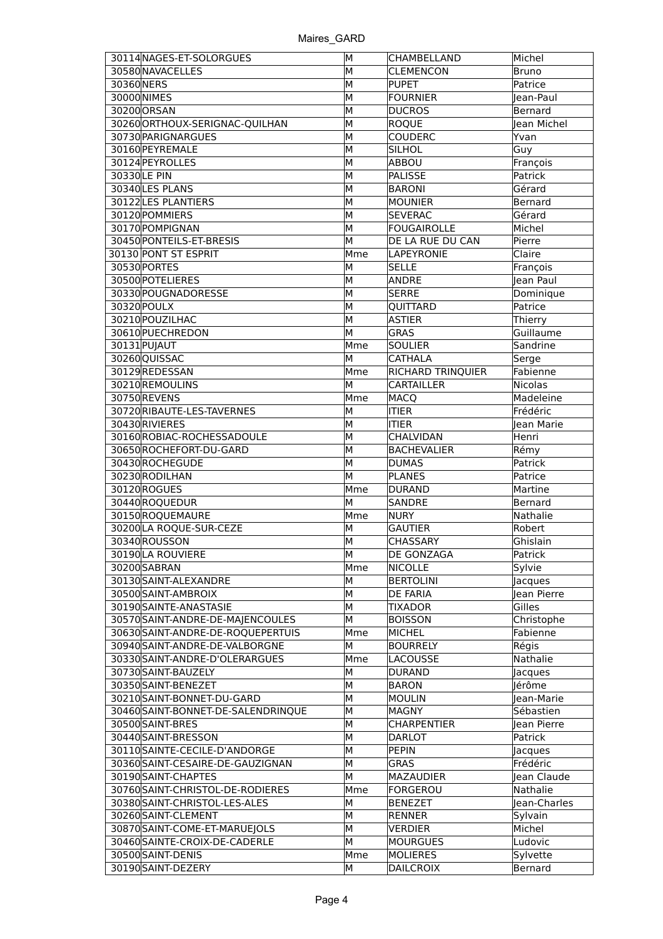| 30114 NAGES-ET-SOLORGUES           | M   | CHAMBELLAND        | Michel         |
|------------------------------------|-----|--------------------|----------------|
| 30580 NAVACELLES                   | м   | <b>CLEMENCON</b>   | Bruno          |
| 30360 NERS                         | M   | <b>PUPET</b>       | Patrice        |
| 30000 NIMES                        | М   | <b>FOURNIER</b>    | Jean-Paul      |
| 30200 ORSAN                        | М   | <b>DUCROS</b>      | Bernard        |
| 30260 ORTHOUX-SERIGNAC-QUILHAN     | М   | <b>ROQUE</b>       | Jean Michel    |
| 30730 PARIGNARGUES                 | М   | <b>COUDERC</b>     | Yvan           |
| 30160 PEYREMALE                    | M   | <b>SILHOL</b>      | Guy            |
| 30124 PEYROLLES                    | М   | ABBOU              | François       |
| 30330 LE PIN                       | М   | <b>PALISSE</b>     | Patrick        |
| 30340 LES PLANS                    | М   | <b>BARONI</b>      | Gérard         |
| 30122 LES PLANTIERS                | м   | <b>MOUNIER</b>     | Bernard        |
| 30120 POMMIERS                     | М   | <b>SEVERAC</b>     | Gérard         |
| 30170 POMPIGNAN                    | М   | <b>FOUGAIROLLE</b> |                |
|                                    |     |                    | Michel         |
| 30450 PONTEILS-ET-BRESIS           | M   | DE LA RUE DU CAN   | Pierre         |
| 30130 PONT ST ESPRIT               | Mme | LAPEYRONIE         | Claire         |
| 30530 PORTES                       | М   | <b>SELLE</b>       | François       |
| 30500 POTELIERES                   | М   | ANDRE              | Jean Paul      |
| 30330 POUGNADORESSE                | M   | <b>SERRE</b>       | Dominique      |
| 30320 POULX                        | М   | <b>OUITTARD</b>    | Patrice        |
| 30210 POUZILHAC                    | М   | <b>ASTIER</b>      | Thierry        |
| 30610 PUECHREDON                   | M   | <b>GRAS</b>        | Guillaume      |
| 30131 PUJAUT                       | Mme | <b>SOULIER</b>     | Sandrine       |
| 30260QUISSAC                       | M   | <b>CATHALA</b>     | Serge          |
| 30129 REDESSAN                     | Mme | RICHARD TRINQUIER  | Fabienne       |
| 30210REMOULINS                     | М   | <b>CARTAILLER</b>  | <b>Nicolas</b> |
| 30750REVENS                        | Mme | <b>MACQ</b>        | Madeleine      |
| 30720 RIBAUTE-LES-TAVERNES         | М   | <b>ITIER</b>       | Frédéric       |
| 30430 RIVIERES                     | M   | <b>ITIER</b>       | Jean Marie     |
| 30160 ROBIAC-ROCHESSADOULE         | М   | <b>CHALVIDAN</b>   | Henri          |
| 30650 ROCHEFORT-DU-GARD            | М   | <b>BACHEVALIER</b> | Rémy           |
| 30430 ROCHEGUDE                    | М   | <b>DUMAS</b>       | Patrick        |
| 30230 RODILHAN                     | М   | <b>PLANES</b>      | Patrice        |
| 30120 ROGUES                       | Mme | <b>DURAND</b>      | Martine        |
| 30440 ROQUEDUR                     | М   | <b>SANDRE</b>      | Bernard        |
|                                    |     |                    |                |
| 30150ROQUEMAURE                    | Mme | <b>NURY</b>        | Nathalie       |
| 30200 LA ROQUE-SUR-CEZE            | м   | <b>GAUTIER</b>     | Robert         |
| 30340ROUSSON                       | М   | <b>CHASSARY</b>    | Ghislain       |
| 30190LA ROUVIERE                   | M   | DE GONZAGA         | Patrick        |
| 30200SABRAN                        | Mme | <b>NICOLLE</b>     | Sylvie         |
| 30130 SAINT-ALEXANDRE              | М   | <b>BERTOLINI</b>   | Jacques        |
| 30500 SAINT-AMBROIX                | M   | <b>DE FARIA</b>    | Jean Pierre    |
| 30190 SAINTE-ANASTASIE             | M   | TIXADOR            | Gilles         |
| 30570 SAINT-ANDRE-DE-MAJENCOULES   | M   | <b>BOISSON</b>     | Christophe     |
| 30630 SAINT-ANDRE-DE-ROQUEPERTUIS  | Mme | <b>MICHEL</b>      | Fabienne       |
| 30940 SAINT-ANDRE-DE-VALBORGNE     | M   | <b>BOURRELY</b>    | Régis          |
| 30330 SAINT-ANDRE-D'OLERARGUES     | Mme | <b>LACOUSSE</b>    | Nathalie       |
| 30730 SAINT-BAUZELY                | M   | <b>DURAND</b>      | Jacques        |
| 30350 SAINT-BENEZET                | M   | <b>BARON</b>       | Jérôme         |
| 30210 SAINT-BONNET-DU-GARD         | M   | <b>MOULIN</b>      | Jean-Marie     |
| 30460 SAINT-BONNET-DE-SALENDRINQUE | М   | <b>MAGNY</b>       | Sébastien      |
| 30500 SAINT-BRES                   | М   | <b>CHARPENTIER</b> | Jean Pierre    |
| 30440 SAINT-BRESSON                | М   | <b>DARLOT</b>      | Patrick        |
| 30110 SAINTE-CECILE-D'ANDORGE      | M   | <b>PEPIN</b>       | Jacques        |
| 30360 SAINT-CESAIRE-DE-GAUZIGNAN   | M   | <b>GRAS</b>        | Frédéric       |
| 30190 SAINT-CHAPTES                | M   | <b>MAZAUDIER</b>   | Jean Claude    |
|                                    |     |                    |                |
| 30760 SAINT-CHRISTOL-DE-RODIERES   | Mme | <b>FORGEROU</b>    | Nathalie       |
| 30380 SAINT-CHRISTOL-LES-ALES      | м   | <b>BENEZET</b>     | Jean-Charles   |
| 30260 SAINT-CLEMENT                | М   | RENNER             | Sylvain        |
| 30870 SAINT-COME-ET-MARUEJOLS      | M   | <b>VERDIER</b>     | Michel         |
| 30460 SAINTE-CROIX-DE-CADERLE      | M   | <b>MOURGUES</b>    | Ludovic        |
| 30500 SAINT-DENIS                  | Mme | <b>MOLIERES</b>    | Sylvette       |
| 30190 SAINT-DEZERY                 | М   | <b>DAILCROIX</b>   | Bernard        |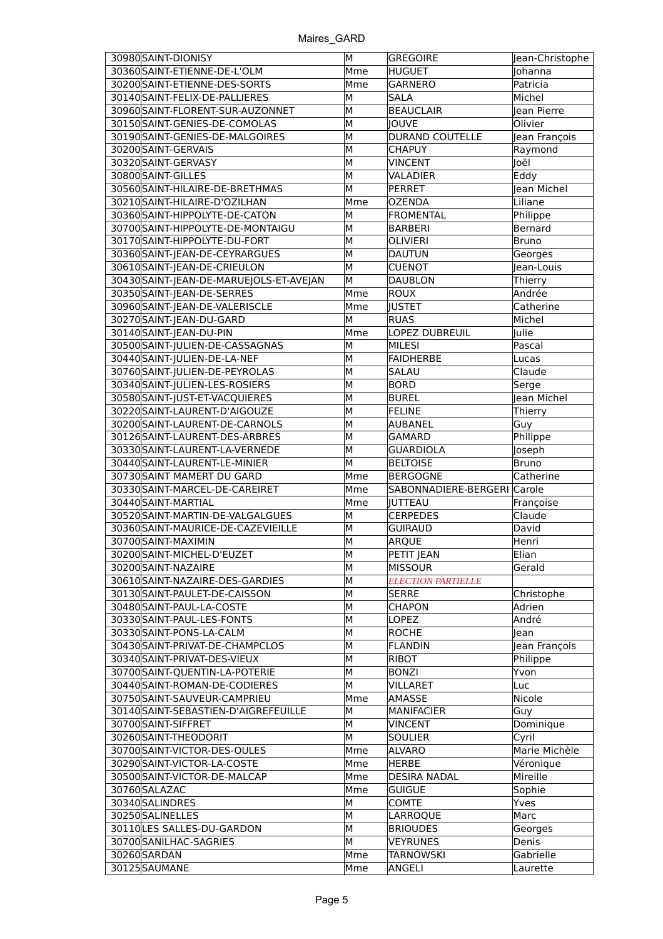| 30980 SAINT-DIONISY                     | M   | GREGOIRE                    | Jean-Christophe |
|-----------------------------------------|-----|-----------------------------|-----------------|
| 30360 SAINT-ETIENNE-DE-L'OLM            | Mme | HUGUET                      | Johanna         |
| 30200 SAINT-ETIENNE-DES-SORTS           | Mme | <b>GARNERO</b>              | Patricia        |
| 30140 SAINT-FELIX-DE-PALLIERES          | М   | <b>SALA</b>                 | Michel          |
| 30960 SAINT-FLORENT-SUR-AUZONNET        | M   | <b>BEAUCLAIR</b>            | Jean Pierre     |
| 30150 SAINT-GENIES-DE-COMOLAS           | М   | JOUVE                       | Olivier         |
| 30190 SAINT-GENIES-DE-MALGOIRES         | М   | DURAND COUTELLE             | Jean François   |
| 30200 SAINT-GERVAIS                     | м   | <b>CHAPUY</b>               | Raymond         |
| 30320 SAINT-GERVASY                     | М   | <b>VINCENT</b>              | Joël            |
| 30800 SAINT-GILLES                      | M   | VALADIER                    | Eddy            |
| 30560 SAINT-HILAIRE-DE-BRETHMAS         | M   | PERRET                      | lean Michel     |
| 30210 SAINT-HILAIRE-D'OZILHAN           | Mme | <b>OZENDA</b>               | Liliane         |
| 30360 SAINT-HIPPOLYTE-DE-CATON          | M   | FROMENTAL                   | Philippe        |
| 30700 SAINT-HIPPOLYTE-DE-MONTAIGU       | M   | BARBERI                     | Bernard         |
| 30170 SAINT-HIPPOLYTE-DU-FORT           | M   | <b>OLIVIERI</b>             | Bruno           |
| 30360 SAINT-JEAN-DE-CEYRARGUES          | M   | DAUTUN                      | Georges         |
| 30610 SAINT-JEAN-DE-CRIEULON            | M   | <b>CUENOT</b>               | Jean-Louis      |
| 30430 SAINT-JEAN-DE-MARUEJOLS-ET-AVEJAN | M   | DAUBLON                     | Thierry         |
| 30350 SAINT-JEAN-DE-SERRES              | Mme | ROUX                        | Andrée          |
| 30960 SAINT-JEAN-DE-VALERISCLE          | Mme | <b>IUSTET</b>               | Catherine       |
| 30270 SAINT-JEAN-DU-GARD                | M   | <b>RUAS</b>                 | Michel          |
| 30140 SAINT-JEAN-DU-PIN                 | Mme | LOPEZ DUBREUIL              | Julie           |
| 30500 SAINT-JULIEN-DE-CASSAGNAS         | М   | MILESI                      | Pascal          |
| 30440 SAINT-JULIEN-DE-LA-NEF            | M   | FAIDHERBE                   | Lucas           |
| 30760 SAINT-JULIEN-DE-PEYROLAS          | М   | SALAU                       | Claude          |
| 30340 SAINT-JULIEN-LES-ROSIERS          | M   | <b>BORD</b>                 | Serge           |
| 30580 SAINT-JUST-ET-VACQUIERES          | М   | <b>BUREL</b>                | Jean Michel     |
| 30220 SAINT-LAURENT-D'AIGOUZE           | М   | FELINE                      | Thierry         |
| 30200 SAINT-LAURENT-DE-CARNOLS          | м   | AUBANEL                     | Guy             |
| 30126 SAINT-LAURENT-DES-ARBRES          | M   | GAMARD                      | Philippe        |
| 30330 SAINT-LAURENT-LA-VERNEDE          | M   | <b>GUARDIOLA</b>            | Joseph          |
| 30440 SAINT-LAURENT-LE-MINIER           | M   | <b>BELTOISE</b>             | <b>Bruno</b>    |
| 30730 SAINT MAMERT DU GARD              | Mme | <b>BERGOGNE</b>             | Catherine       |
| 30330 SAINT-MARCEL-DE-CAREIRET          | Mme | SABONNADIERE-BERGERI Carole |                 |
| 30440 SAINT-MARTIAL                     | Mme | <b>JUTTEAU</b>              | Françoise       |
| 30520 SAINT-MARTIN-DE-VALGALGUES        | M   | <b>CERPEDES</b>             | Claude          |
| 30360 SAINT-MAURICE-DE-CAZEVIEILLE      | M   | <b>GUIRAUD</b>              | David           |
| 30700 SAINT-MAXIMIN                     | M   | ARQUE                       | Henri           |
| 30200 SAINT-MICHEL-D'EUZET              | M   | PETIT JEAN                  | Elian           |
| 30200 SAINT-NAZAIRE                     | M   | <b>MISSOUR</b>              | Gerald          |
| 30610 SAINT-NAZAIRE-DES-GARDIES         | M   | <b>ELECTION PARTIELLE</b>   |                 |
| 30130 SAINT-PAULET-DE-CAISSON           | M   | <b>SERRE</b>                | Christophe      |
| 30480 SAINT-PAUL-LA-COSTE               | M   | <b>CHAPON</b>               | Adrien          |
| 30330 SAINT-PAUL-LES-FONTS              | M   | <b>LOPEZ</b>                | André           |
| 30330 SAINT-PONS-LA-CALM                | M   | ROCHE                       | <b>Jean</b>     |
| 30430 SAINT-PRIVAT-DE-CHAMPCLOS         | M   | FLANDIN                     | Jean François   |
| 30340 SAINT-PRIVAT-DES-VIEUX            | M   | RIBOT                       | Philippe        |
| 30700 SAINT-QUENTIN-LA-POTERIE          | М   | <b>BONZI</b>                | Yvon            |
| 30440 SAINT-ROMAN-DE-CODIERES           | M   | <b>VILLARET</b>             | Luc             |
| 30750 SAINT-SAUVEUR-CAMPRIEU            | Mme | AMASSE                      | Nicole          |
| 30140 SAINT-SEBASTIEN-D'AIGREFEUILLE    | М   | <b>MANIFACIER</b>           | Guy             |
| 30700 SAINT-SIFFRET                     | M   | <b>VINCENT</b>              | Dominique       |
| 30260 SAINT-THEODORIT                   | M   | <b>SOULIER</b>              | Cyril           |
| 30700 SAINT-VICTOR-DES-OULES            | Mme | ALVARO                      | Marie Michèle   |
| 30290 SAINT-VICTOR-LA-COSTE             | Mme | HERBE                       | Véronique       |
| 30500 SAINT-VICTOR-DE-MALCAP            | Mme | <b>DESIRA NADAL</b>         | Mireille        |
| 30760 SALAZAC                           | Mme | <b>GUIGUE</b>               | Sophie          |
| 30340 SALINDRES                         | M   | <b>COMTE</b>                | Yves            |
| 30250 SALINELLES                        | M   | LARROQUE                    | Marc            |
| 30110 LES SALLES-DU-GARDON              | M   | <b>BRIOUDES</b>             | Georges         |
| 30700 SANILHAC-SAGRIES                  | M   | <b>VEYRUNES</b>             | Denis           |
| 30260 SARDAN                            | Mme | <b>TARNOWSKI</b>            | Gabrielle       |
|                                         |     |                             |                 |
| 30125 SAUMANE                           | Mme | ANGELI                      | Laurette        |